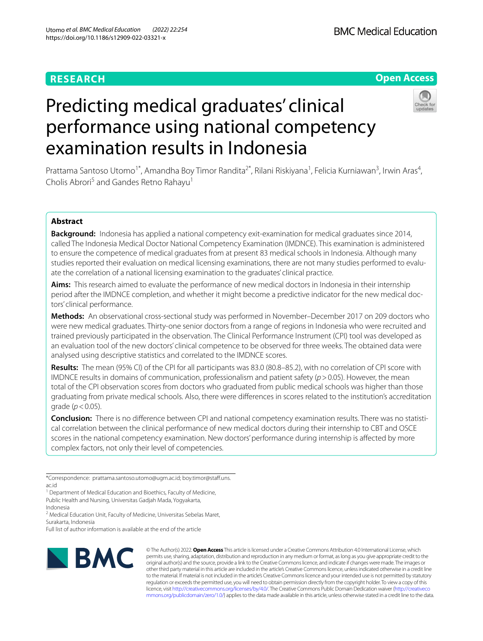# **RESEARCH**

# **Open Access**

# Predicting medical graduates' clinical performance using national competency examination results in Indonesia



Prattama Santoso Utomo<sup>1\*</sup>, Amandha Boy Timor Randita<sup>2\*</sup>, Rilani Riskiyana<sup>1</sup>, Felicia Kurniawan<sup>3</sup>, Irwin Aras<sup>4</sup>, Cholis Abrori<sup>5</sup> and Gandes Retno Rahayu<sup>1</sup>

## **Abstract**

**Background:** Indonesia has applied a national competency exit-examination for medical graduates since 2014, called The Indonesia Medical Doctor National Competency Examination (IMDNCE). This examination is administered to ensure the competence of medical graduates from at present 83 medical schools in Indonesia. Although many studies reported their evaluation on medical licensing examinations, there are not many studies performed to evaluate the correlation of a national licensing examination to the graduates' clinical practice.

**Aims:** This research aimed to evaluate the performance of new medical doctors in Indonesia in their internship period after the IMDNCE completion, and whether it might become a predictive indicator for the new medical doctors' clinical performance.

**Methods:** An observational cross-sectional study was performed in November–December 2017 on 209 doctors who were new medical graduates. Thirty-one senior doctors from a range of regions in Indonesia who were recruited and trained previously participated in the observation. The Clinical Performance Instrument (CPI) tool was developed as an evaluation tool of the new doctors' clinical competence to be observed for three weeks. The obtained data were analysed using descriptive statistics and correlated to the IMDNCE scores.

**Results:** The mean (95% CI) of the CPI for all participants was 83.0 (80.8–85.2), with no correlation of CPI score with IMDNCE results in domains of communication, professionalism and patient safety (*p*>0.05). However, the mean total of the CPI observation scores from doctors who graduated from public medical schools was higher than those graduating from private medical schools. Also, there were diferences in scores related to the institution's accreditation grade (*p*<0.05).

**Conclusion:** There is no diference between CPI and national competency examination results. There was no statistical correlation between the clinical performance of new medical doctors during their internship to CBT and OSCE scores in the national competency examination. New doctors' performance during internship is afected by more complex factors, not only their level of competencies.

\*Correspondence: prattama.santoso.utomo@ugm.ac.id; boy.timor@staf.uns. ac.id

<sup>1</sup> Department of Medical Education and Bioethics, Faculty of Medicine, Public Health and Nursing, Universitas Gadjah Mada, Yogyakarta, Indonesia

<sup>2</sup> Medical Education Unit, Faculty of Medicine, Universitas Sebelas Maret, Surakarta, Indonesia

Full list of author information is available at the end of the article



© The Author(s) 2022. **Open Access** This article is licensed under a Creative Commons Attribution 4.0 International License, which permits use, sharing, adaptation, distribution and reproduction in any medium or format, as long as you give appropriate credit to the original author(s) and the source, provide a link to the Creative Commons licence, and indicate if changes were made. The images or other third party material in this article are included in the article's Creative Commons licence, unless indicated otherwise in a credit line to the material. If material is not included in the article's Creative Commons licence and your intended use is not permitted by statutory regulation or exceeds the permitted use, you will need to obtain permission directly from the copyright holder. To view a copy of this licence, visit [http://creativecommons.org/licenses/by/4.0/.](http://creativecommons.org/licenses/by/4.0/) The Creative Commons Public Domain Dedication waiver ([http://creativeco](http://creativecommons.org/publicdomain/zero/1.0/) [mmons.org/publicdomain/zero/1.0/](http://creativecommons.org/publicdomain/zero/1.0/)) applies to the data made available in this article, unless otherwise stated in a credit line to the data.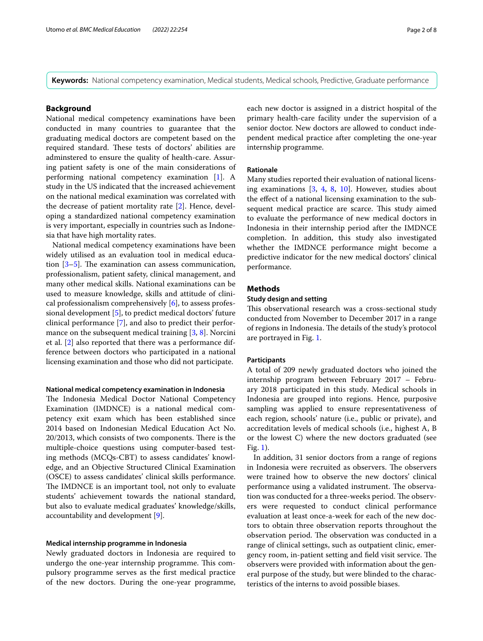**Keywords:** National competency examination, Medical students, Medical schools, Predictive, Graduate performance

## **Background**

National medical competency examinations have been conducted in many countries to guarantee that the graduating medical doctors are competent based on the required standard. These tests of doctors' abilities are adminstered to ensure the quality of health-care. Assuring patient safety is one of the main considerations of performing national competency examination [[1\]](#page-7-0). A study in the US indicated that the increased achievement on the national medical examination was correlated with the decrease of patient mortality rate [[2\]](#page-7-1). Hence, developing a standardized national competency examination is very important, especially in countries such as Indonesia that have high mortality rates.

National medical competency examinations have been widely utilised as an evaluation tool in medical education  $[3-5]$  $[3-5]$ . The examination can assess communication, professionalism, patient safety, clinical management, and many other medical skills. National examinations can be used to measure knowledge, skills and attitude of clinical professionalism comprehensively [\[6](#page-7-4)], to assess professional development [\[5](#page-7-3)], to predict medical doctors' future clinical performance [[7\]](#page-7-5), and also to predict their perfor-mance on the subsequent medical training [[3](#page-7-2), [8](#page-7-6)]. Norcini et al. [[2\]](#page-7-1) also reported that there was a performance difference between doctors who participated in a national licensing examination and those who did not participate.

#### **National medical competency examination in Indonesia**

The Indonesia Medical Doctor National Competency Examination (IMDNCE) is a national medical competency exit exam which has been established since 2014 based on Indonesian Medical Education Act No. 20/2013, which consists of two components. There is the multiple-choice questions using computer-based testing methods (MCQs-CBT) to assess candidates' knowledge, and an Objective Structured Clinical Examination (OSCE) to assess candidates' clinical skills performance. The IMDNCE is an important tool, not only to evaluate students' achievement towards the national standard, but also to evaluate medical graduates' knowledge/skills, accountability and development [[9](#page-7-7)].

#### **Medical internship programme in Indonesia**

Newly graduated doctors in Indonesia are required to undergo the one-year internship programme. This compulsory programme serves as the frst medical practice of the new doctors. During the one-year programme, each new doctor is assigned in a district hospital of the primary health-care facility under the supervision of a senior doctor. New doctors are allowed to conduct independent medical practice after completing the one-year internship programme.

#### **Rationale**

Many studies reported their evaluation of national licensing examinations [\[3](#page-7-2), [4,](#page-7-8) [8,](#page-7-6) [10](#page-7-9)]. However, studies about the efect of a national licensing examination to the subsequent medical practice are scarce. This study aimed to evaluate the performance of new medical doctors in Indonesia in their internship period after the IMDNCE completion. In addition, this study also investigated whether the IMDNCE performance might become a predictive indicator for the new medical doctors' clinical performance.

## **Methods**

## **Study design and setting**

This observational research was a cross-sectional study conducted from November to December 2017 in a range of regions in Indonesia. The details of the study's protocol are portrayed in Fig. [1](#page-2-0).

#### **Participants**

A total of 209 newly graduated doctors who joined the internship program between February 2017 – February 2018 participated in this study. Medical schools in Indonesia are grouped into regions. Hence, purposive sampling was applied to ensure representativeness of each region, schools' nature (i.e., public or private), and accreditation levels of medical schools (i.e., highest A, B or the lowest C) where the new doctors graduated (see Fig. [1\)](#page-2-0).

In addition, 31 senior doctors from a range of regions in Indonesia were recruited as observers. The observers were trained how to observe the new doctors' clinical performance using a validated instrument. The observation was conducted for a three-weeks period. The observers were requested to conduct clinical performance evaluation at least once-a-week for each of the new doctors to obtain three observation reports throughout the observation period. The observation was conducted in a range of clinical settings, such as outpatient clinic, emergency room, in-patient setting and field visit service. The observers were provided with information about the general purpose of the study, but were blinded to the characteristics of the interns to avoid possible biases.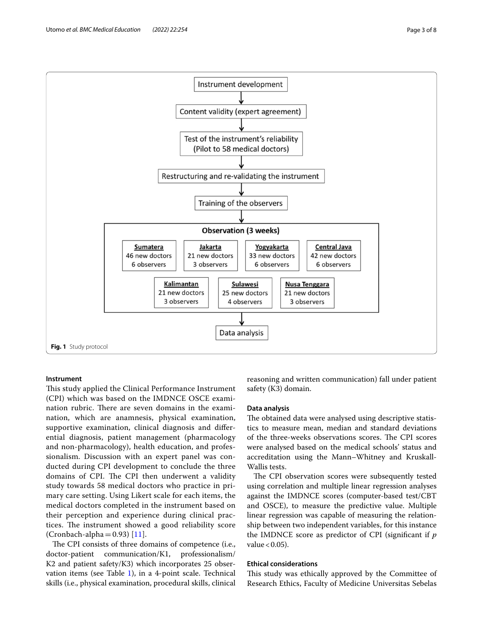

## <span id="page-2-0"></span>**Instrument**

This study applied the Clinical Performance Instrument (CPI) which was based on the IMDNCE OSCE examination rubric. There are seven domains in the examination, which are anamnesis, physical examination, supportive examination, clinical diagnosis and diferential diagnosis, patient management (pharmacology and non-pharmacology), health education, and professionalism. Discussion with an expert panel was conducted during CPI development to conclude the three domains of CPI. The CPI then underwent a validity study towards 58 medical doctors who practice in primary care setting. Using Likert scale for each items, the medical doctors completed in the instrument based on their perception and experience during clinical practices. The instrument showed a good reliability score (Cronbach-alpha $=0.93$ ) [\[11](#page-7-10)].

The CPI consists of three domains of competence (i.e., doctor-patient communication/K1, professionalism/ K2 and patient safety/K3) which incorporates 25 observation items (see Table  $1$ ), in a 4-point scale. Technical skills (i.e., physical examination, procedural skills, clinical reasoning and written communication) fall under patient safety (K3) domain.

## **Data analysis**

The obtained data were analysed using descriptive statistics to measure mean, median and standard deviations of the three-weeks observations scores. The CPI scores were analysed based on the medical schools' status and accreditation using the Mann–Whitney and Kruskall-Wallis tests.

The CPI observation scores were subsequently tested using correlation and multiple linear regression analyses against the IMDNCE scores (computer-based test/CBT and OSCE), to measure the predictive value. Multiple linear regression was capable of measuring the relationship between two independent variables, for this instance the IMDNCE score as predictor of CPI (signifcant if *p* value  $< 0.05$ ).

#### **Ethical considerations**

This study was ethically approved by the Committee of Research Ethics, Faculty of Medicine Universitas Sebelas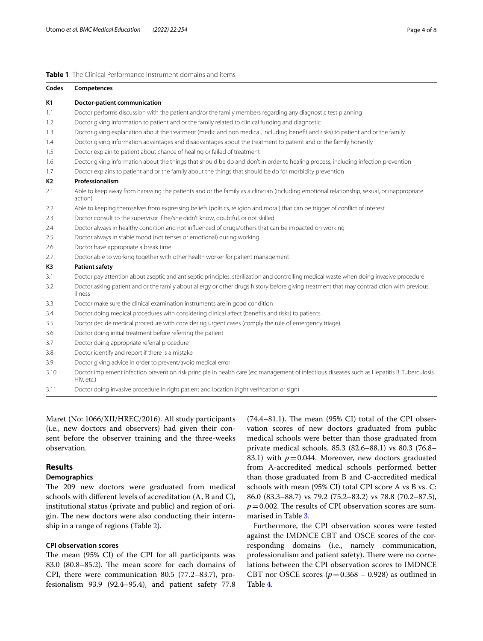## <span id="page-3-0"></span>**Table 1** The Clinical Performance Instrument domains and items

| Codes     | Competences                                                                                                                                                 |
|-----------|-------------------------------------------------------------------------------------------------------------------------------------------------------------|
| <b>K1</b> | <b>Doctor-patient communication</b>                                                                                                                         |
| 1.1       | Doctor performs discussion with the patient and/or the family members regarding any diagnostic test planning                                                |
| 1.2       | Doctor giving information to patient and or the family related to clinical funding and diagnostic                                                           |
| 1.3       | Doctor giving explanation about the treatment (medic and non medical, including benefit and risks) to patient and or the family                             |
| 1.4       | Doctor giving information advantages and disadvantages about the treatment to patient and or the family honestly                                            |
| 1.5       | Doctor explain to patient about chance of healing or failed of treatment                                                                                    |
| 1.6       | Doctor giving information about the things that should be do and don't in order to healing process, including infection prevention                          |
| 1.7       | Doctor explains to patient and or the family about the things that should be do for morbidity prevention                                                    |
| K2        | Professionalism                                                                                                                                             |
| 2.1       | Able to keep away from harassing the patients and or the family as a clinician (including emotional relationship, sexual, or inappropriate<br>action)       |
| 2.2       | Able to keeping themselves from expressing beliefs (politics, religion and moral) that can be trigger of conflict of interest                               |
| 2.3       | Doctor consult to the supervisor if he/she didn't know, doubtful, or not skilled                                                                            |
| 2.4       | Doctor always in healthy condition and not influenced of drugs/others that can be impacted on working                                                       |
| 2.5       | Doctor always in stable mood (not tenses or emotional) during working                                                                                       |
| 2.6       | Doctor have appropriate a break time                                                                                                                        |
| 2.7       | Doctor able to working together with other health worker for patient management                                                                             |
| K3        | <b>Patient safety</b>                                                                                                                                       |
| 3.1       | Doctor pay attention about aseptic and antiseptic principles, sterilization and controlling medical waste when doing invasive procedure                     |
| 3.2       | Doctor asking patient and or the family about allergy or other drugs history before giving treatment that may contradiction with previous<br>illness        |
| 3.3       | Doctor make sure the clinical examination instruments are in good condition                                                                                 |
| 3.4       | Doctor doing medical procedures with considering clinical affect (benefits and risks) to patients                                                           |
| 3.5       | Doctor decide medical procedure with considering urgent cases (comply the rule of emergency triage)                                                         |
| 3.6       | Doctor doing initial treatment before referring the patient                                                                                                 |
| 3.7       | Doctor doing appropriate referral procedure                                                                                                                 |
| 3.8       | Doctor identify and report if there is a mistake                                                                                                            |
| 3.9       | Doctor giving advice in order to prevent/avoid medical error                                                                                                |
| 3.10      | Doctor implement infection prevention risk principle in health care (ex: management of infectious diseases such as Hepatitis B, Tuberculosis,<br>HIV, etc.) |
| 3.11      | Doctor doing invasive procedure in right patient and location (right verification or sign)                                                                  |

Maret (No: 1066/XII/HREC/2016). All study participants (i.e., new doctors and observers) had given their consent before the observer training and the three-weeks observation.

## **Results**

## **Demographics**

The 209 new doctors were graduated from medical schools with diferent levels of accreditation (A, B and C), institutional status (private and public) and region of origin. The new doctors were also conducting their internship in a range of regions (Table [2\)](#page-4-0).

## **CPI observation scores**

The mean (95% CI) of the CPI for all participants was 83.0 (80.8–85.2). The mean score for each domains of CPI, there were communication 80.5 (77.2–83.7), profesionalism 93.9 (92.4–95.4), and patient safety 77.8  $(74.4-81.1)$ . The mean  $(95\% \text{ CI})$  total of the CPI observation scores of new doctors graduated from public medical schools were better than those graduated from private medical schools, 85.3 (82.6–88.1) vs 80.3 (76.8– 83.1) with  $p=0.044$ . Moreover, new doctors graduated from A-accredited medical schools performed better than those graduated from B and C-accredited medical schools with mean (95% CI) total CPI score A vs B vs. C: 86.0 (83.3–88.7) vs 79.2 (75.2–83.2) vs 78.8 (70.2–87.5),  $p=0.002$ . The results of CPI observation scores are summarised in Table [3.](#page-4-1)

Furthermore, the CPI observation scores were tested against the IMDNCE CBT and OSCE scores of the corresponding domains (i.e., namely communication, professionalism and patient safety). There were no correlations between the CPI observation scores to IMDNCE CBT nor OSCE scores  $(p=0.368 - 0.928)$  as outlined in Table [4](#page-5-0).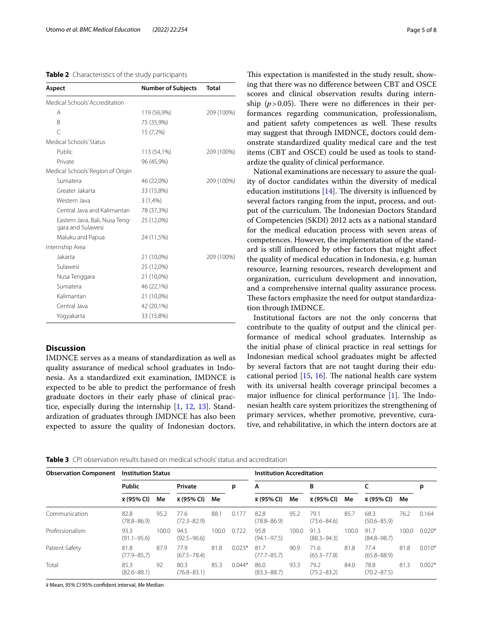## <span id="page-4-0"></span>**Table 2** Characteristics of the study participants

| Aspect                                              | <b>Number of Subjects</b> | <b>Total</b> |
|-----------------------------------------------------|---------------------------|--------------|
| Medical Schools' Accreditation                      |                           |              |
| Α                                                   | 119 (56,9%)               | 209 (100%)   |
| B                                                   | 75 (35,9%)                |              |
| Ċ                                                   | 15 (7,2%)                 |              |
| Medical Schools' Status                             |                           |              |
| Public                                              | 113 (54,1%)               | 209 (100%)   |
| Private                                             | 96 (45,9%)                |              |
| Medical Schools' Region of Origin                   |                           |              |
| Sumatera                                            | 46 (22,0%)                | 209 (100%)   |
| Greater Jakarta                                     | 33 (15,8%)                |              |
| Western Java                                        | 3(1,4% )                  |              |
| Central Java and Kalimantan                         | 78 (37,3%)                |              |
| Eastern Java, Bali, Nusa Teng-<br>gara and Sulawesi | 25 (12,0%)                |              |
| Maluku and Papua                                    | 24 (11,5%)                |              |
| Internship Area                                     |                           |              |
| Jakarta                                             | 21 (10,0%)                | 209 (100%)   |
| Sulawesi                                            | 25 (12,0%)                |              |
| Nusa Tenggara                                       | 21 (10,0%)                |              |
| Sumatera                                            | 46 (22,1%)                |              |
| Kalimantan                                          | 21 (10,0%)                |              |
| Central Java                                        | 42 (20,1%)                |              |
| Yogyakarta                                          | 33 (15,8%)                |              |

## **Discussion**

IMDNCE serves as a means of standardization as well as quality assurance of medical school graduates in Indonesia. As a standardized exit examination, IMDNCE is expected to be able to predict the performance of fresh graduate doctors in their early phase of clinical practice, especially during the internship [[1,](#page-7-0) [12](#page-7-11), [13](#page-7-12)]. Standardization of graduates through IMDNCE has also been expected to assure the quality of Indonesian doctors.

This expectation is manifested in the study result, showing that there was no diference between CBT and OSCE scores and clinical observation results during internship  $(p > 0.05)$ . There were no differences in their performances regarding communication, professionalism, and patient safety competences as well. These results may suggest that through IMDNCE, doctors could demonstrate standardized quality medical care and the test items (CBT and OSCE) could be used as tools to standardize the quality of clinical performance.

National examinations are necessary to assure the quality of doctor candidates within the diversity of medical education institutions  $[14]$  $[14]$ . The diversity is influenced by several factors ranging from the input, process, and output of the curriculum. The Indonesian Doctors Standard of Competencies (SKDI) 2012 acts as a national standard for the medical education process with seven areas of competences. However, the implementation of the standard is still infuenced by other factors that might afect the quality of medical education in Indonesia, e.g. human resource, learning resources, research development and organization, curriculum development and innovation, and a comprehensive internal quality assurance process. These factors emphasize the need for output standardization through IMDNCE.

Institutional factors are not the only concerns that contribute to the quality of output and the clinical performance of medical school graduates. Internship as the initial phase of clinical practice in real settings for Indonesian medical school graduates might be afected by several factors that are not taught during their educational period  $[15, 16]$  $[15, 16]$  $[15, 16]$  $[15, 16]$ . The national health care system with its universal health coverage principal becomes a major influence for clinical performance  $[1]$  $[1]$ . The Indonesian health care system prioritizes the strengthening of primary services, whether promotive, preventive, curative, and rehabilitative, in which the intern doctors are at

<span id="page-4-1"></span>

| <b>Table 3</b> CPI observation results based on medical schools' status and accreditation |  |
|-------------------------------------------------------------------------------------------|--|
|-------------------------------------------------------------------------------------------|--|

| <b>Observation Component</b> | <b>Institution Status</b> |       |                         |       |          | <b>Institution Accreditation</b> |       |                         |       |                         |       |          |
|------------------------------|---------------------------|-------|-------------------------|-------|----------|----------------------------------|-------|-------------------------|-------|-------------------------|-------|----------|
|                              | <b>Public</b>             |       | Private                 |       | p        | A                                |       | B                       |       |                         |       | p        |
|                              | x (95% CI)<br>Me          |       | x (95% CI)<br>Me        |       |          | <b>x</b> (95% CI)                | Me    | <b>x</b> (95% CI)       | Me    | x (95% Cl)<br>Me        |       |          |
| Communication                | 82.8<br>$(78.8 - 86.9)$   | 95.2  | 77.6<br>$(72.3 - 82.9)$ | 88.1  | 0.177    | 82.8<br>$(78.8 - 86.9)$          | 95.2  | 79.1<br>$(73.6 - 84.6)$ | 85.7  | 68.3<br>$(50.6 - 85.9)$ | 76.2  | 0.164    |
| Professionalism              | 93.3<br>$(91.1 - 95.6)$   | 100.0 | 94.5<br>$(92.5 - 96.6)$ | 100.0 | 0.722    | 95.8<br>$(94.1 - 97.5)$          | 100.0 | 91.3<br>$(88.3 - 94.3)$ | 100.0 | 91.7<br>$(84.8 - 98.7)$ | 100.0 | $0.020*$ |
| Patient Safety               | 81.8<br>$(77.9 - 85.7)$   | 87.9  | 77.9<br>$(67.5 - 78.4)$ | 81.8  | $0.023*$ | 81.7<br>$(77.7 - 85.7)$          | 90.9  | 71.6<br>$(65.3 - 77.8)$ | 81.8  | 77.4<br>$(65.8 - 88.9)$ | 81.8  | $0.010*$ |
| Total                        | 85.3<br>$(82.6 - 88.1)$   | 92    | 80.3<br>$(76.8 - 83.1)$ | 85.3  | $0.044*$ | 86.0<br>$(83.3 - 88.7)$          | 93.3  | 79.2<br>$(75.2 - 83.2)$ | 84.0  | 78.8<br>$(70.2 - 87.5)$ | 81.3  | $0.002*$ |

*x*̄ Mean, *95% CI* 95% confdent interval, *Me* Median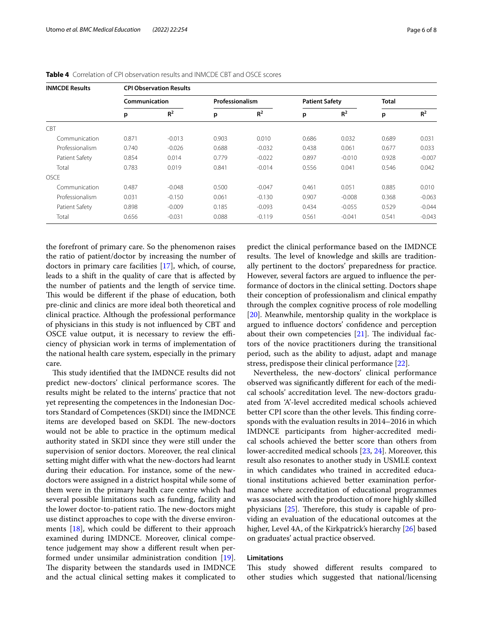| <b>INMCDE Results</b> | <b>CPI Observation Results</b> |          |                 |          |                       |          |              |          |  |  |  |
|-----------------------|--------------------------------|----------|-----------------|----------|-----------------------|----------|--------------|----------|--|--|--|
|                       | Communication                  |          | Professionalism |          | <b>Patient Safety</b> |          | <b>Total</b> |          |  |  |  |
|                       | p                              | $R^2$    | p               | $R^2$    | p                     | $R^2$    | p            | $R^2$    |  |  |  |
| CBT                   |                                |          |                 |          |                       |          |              |          |  |  |  |
| Communication         | 0.871                          | $-0.013$ | 0.903           | 0.010    | 0.686                 | 0.032    | 0.689        | 0.031    |  |  |  |
| Professionalism       | 0.740                          | $-0.026$ | 0.688           | $-0.032$ | 0.438                 | 0.061    | 0.677        | 0.033    |  |  |  |
| Patient Safety        | 0.854                          | 0.014    | 0.779           | $-0.022$ | 0.897                 | $-0.010$ | 0.928        | $-0.007$ |  |  |  |
| Total                 | 0.783                          | 0.019    | 0.841           | $-0.014$ | 0.556                 | 0.041    | 0.546        | 0.042    |  |  |  |
| <b>OSCE</b>           |                                |          |                 |          |                       |          |              |          |  |  |  |
| Communication         | 0.487                          | $-0.048$ | 0.500           | $-0.047$ | 0.461                 | 0.051    | 0.885        | 0.010    |  |  |  |
| Professionalism       | 0.031                          | $-0.150$ | 0.061           | $-0.130$ | 0.907                 | $-0.008$ | 0.368        | $-0.063$ |  |  |  |
| Patient Safety        | 0.898                          | $-0.009$ | 0.185           | $-0.093$ | 0.434                 | $-0.055$ | 0.529        | $-0.044$ |  |  |  |
| Total                 | 0.656                          | $-0.031$ | 0.088           | $-0.119$ | 0.561                 | $-0.041$ | 0.541        | $-0.043$ |  |  |  |

<span id="page-5-0"></span>

| <b>Table 4</b> Correlation of CPI observation results and INMCDE CBT and OSCE scores |  |
|--------------------------------------------------------------------------------------|--|
|--------------------------------------------------------------------------------------|--|

the forefront of primary care. So the phenomenon raises the ratio of patient/doctor by increasing the number of doctors in primary care facilities [[17](#page-7-16)], which, of course, leads to a shift in the quality of care that is afected by the number of patients and the length of service time. This would be different if the phase of education, both pre-clinic and clinics are more ideal both theoretical and clinical practice. Although the professional performance of physicians in this study is not infuenced by CBT and OSCE value output, it is necessary to review the efficiency of physician work in terms of implementation of the national health care system, especially in the primary care.

This study identified that the IMDNCE results did not predict new-doctors' clinical performance scores. The results might be related to the interns' practice that not yet representing the competences in the Indonesian Doctors Standard of Competences (SKDI) since the IMDNCE items are developed based on SKDI. The new-doctors would not be able to practice in the optimum medical authority stated in SKDI since they were still under the supervision of senior doctors. Moreover, the real clinical setting might difer with what the new-doctors had learnt during their education. For instance, some of the newdoctors were assigned in a district hospital while some of them were in the primary health care centre which had several possible limitations such as funding, facility and the lower doctor-to-patient ratio. The new-doctors might use distinct approaches to cope with the diverse environments [\[18\]](#page-7-17), which could be diferent to their approach examined during IMDNCE. Moreover, clinical competence judgement may show a diferent result when performed under unsimilar administration condition [\[19](#page-7-18)]. The disparity between the standards used in IMDNCE and the actual clinical setting makes it complicated to predict the clinical performance based on the IMDNCE results. The level of knowledge and skills are traditionally pertinent to the doctors' preparedness for practice. However, several factors are argued to infuence the performance of doctors in the clinical setting. Doctors shape their conception of professionalism and clinical empathy through the complex cognitive process of role modelling [[20\]](#page-7-19). Meanwhile, mentorship quality in the workplace is argued to infuence doctors' confdence and perception about their own competencies  $[21]$  $[21]$ . The individual factors of the novice practitioners during the transitional period, such as the ability to adjust, adapt and manage stress, predispose their clinical performance [\[22\]](#page-7-21).

Nevertheless, the new-doctors' clinical performance observed was signifcantly diferent for each of the medical schools' accreditation level. The new-doctors graduated from 'A'-level accredited medical schools achieved better CPI score than the other levels. This finding corresponds with the evaluation results in 2014–2016 in which IMDNCE participants from higher-accredited medical schools achieved the better score than others from lower-accredited medical schools [[23,](#page-7-22) [24](#page-7-23)]. Moreover, this result also resonates to another study in USMLE context in which candidates who trained in accredited educational institutions achieved better examination performance where accreditation of educational programmes was associated with the production of more highly skilled physicians  $[25]$  $[25]$ . Therefore, this study is capable of providing an evaluation of the educational outcomes at the higher, Level 4A, of the Kirkpatrick's hierarchy [[26\]](#page-7-25) based on graduates' actual practice observed.

## **Limitations**

This study showed different results compared to other studies which suggested that national/licensing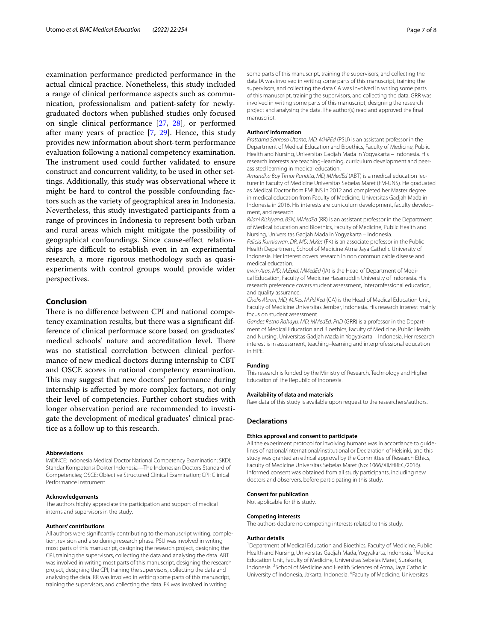examination performance predicted performance in the actual clinical practice. Nonetheless, this study included a range of clinical performance aspects such as communication, professionalism and patient-safety for newlygraduated doctors when published studies only focused on single clinical performance [[27,](#page-7-26) [28\]](#page-7-27), or performed after many years of practice [\[7,](#page-7-5) [29](#page-7-28)]. Hence, this study provides new information about short-term performance evaluation following a national competency examination. The instrument used could further validated to ensure construct and concurrent validity, to be used in other settings. Additionally, this study was observational where it might be hard to control the possible confounding factors such as the variety of geographical area in Indonesia. Nevertheless, this study investigated participants from a range of provinces in Indonesia to represent both urban and rural areas which might mitigate the possibility of geographical confoundings. Since cause-efect relationships are difficult to establish even in an experimental research, a more rigorous methodology such as quasiexperiments with control groups would provide wider perspectives.

## **Conclusion**

There is no difference between CPI and national competency examination results, but there was a signifcant difference of clinical performace score based on graduates' medical schools' nature and accreditation level. There was no statistical correlation between clinical performance of new medical doctors during internship to CBT and OSCE scores in national competency examination. This may suggest that new doctors' performance during internship is afected by more complex factors, not only their level of competencies. Further cohort studies with longer observation period are recommended to investigate the development of medical graduates' clinical practice as a follow up to this research.

#### **Abbreviations**

IMDNCE: Indonesia Medical Doctor National Competency Examination; SKDI: Standar Kompetensi Dokter Indonesia—The Indonesian Doctors Standard of Competencies; OSCE: Objective Structured Clinical Examination; CPI: Clinical Performance Instrument.

#### **Acknowledgements**

The authors highly appreciate the participation and support of medical interns and supervisors in the study.

#### **Authors' contributions**

All authors were signifcantly contributing to the manuscript writing, completion, revision and also during research phase. PSU was involved in writing most parts of this manuscript, designing the research project, designing the CPI, training the supervisors, collecting the data and analysing the data. ABT was involved in writing most parts of this manuscript, designing the research project, designing the CPI, training the supervisors, collecting the data and analysing the data. RR was involved in writing some parts of this manuscript, training the supervisors, and collecting the data. FK was involved in writing

some parts of this manuscript, training the supervisors, and collecting the data IA was involved in writing some parts of this manuscript, training the supervisors, and collecting the data CA was involved in writing some parts of this manuscript, training the supervisors, and collecting the data. GRR was involved in writing some parts of this manuscript, designing the research project and analysing the data. The author(s) read and approved the fnal manuscript.

#### **Authors' information**

*Prattama Santoso Utomo, MD, MHPEd* (PSU) is an assistant professor in the Department of Medical Education and Bioethics, Faculty of Medicine, Public Health and Nursing, Universitas Gadjah Mada in Yogyakarta – Indonesia. His research interests are teaching–learning, curriculum development and peerassisted learning in medical education.

*Amandha Boy Timor Randita, MD, MMedEd* (ABT) is a medical education lecturer in Faculty of Medicine Universitas Sebelas Maret (FM-UNS). He graduated as Medical Doctor from FMUNS in 2012 and completed her Master degree in medical education from Faculty of Medicine, Universitas Gadjah Mada in Indonesia in 2016. His interests are curriculum development, faculty development, and research.

*Rilani Riskiyana, BSN, MMedEd* (RR) is an assistant professor in the Department of Medical Education and Bioethics, Faculty of Medicine, Public Health and Nursing, Universitas Gadjah Mada in Yogyakarta – Indonesia.

*Felicia Kurniawan, DR, MD, M.Kes* (FK) is an associate professor in the Public Health Department, School of Medicine Atma Jaya Catholic University of Indonesia. Her interest covers research in non communicable disease and medical education.

*Irwin Aras, MD, M.Epid, MMedEd* (IA) is the Head of Department of Medical Education, Faculty of Medicine Hasanuddin University of Indonesia. His research preference covers student assessment, interprofessional education, and quality assurance.

*Cholis Abrori, MD, M.Kes, M.Pd.Ked* (CA) is the Head of Medical Education Unit, Faculty of Medicine Universitas Jember, Indonesia. His research interest mainly focus on student assessment.

*Gandes Retno Rahayu, MD, MMedEd, PhD* (GRR) is a professor in the Department of Medical Education and Bioethics, Faculty of Medicine, Public Health and Nursing, Universitas Gadjah Mada in Yogyakarta – Indonesia. Her research interest is in assessment, teaching–learning and interprofessional education in HPE.

#### **Funding**

This research is funded by the Ministry of Research, Technology and Higher Education of The Republic of Indonesia.

#### **Availability of data and materials**

Raw data of this study is available upon request to the researchers/authors.

#### **Declarations**

#### **Ethics approval and consent to participate**

All the experiment protocol for involving humans was in accordance to guidelines of national/international/institutional or Declaration of Helsinki, and this study was granted an ethical approval by the Committee of Research Ethics, Faculty of Medicine Universitas Sebelas Maret (No: 1066/XII/HREC/2016). Informed consent was obtained from all study participants, including new doctors and observers, before participating in this study.

#### **Consent for publication**

Not applicable for this study.

#### **Competing interests**

The authors declare no competing interests related to this study.

#### **Author details**

<sup>1</sup> Department of Medical Education and Bioethics, Faculty of Medicine, Public Health and Nursing, Universitas Gadjah Mada, Yogyakarta, Indonesia. <sup>2</sup>Medical Education Unit, Faculty of Medicine, Universitas Sebelas Maret, Surakarta, Indonesia. <sup>3</sup> School of Medicine and Health Sciences of Atma, Jaya Catholic University of Indonesia, Jakarta, Indonesia. <sup>4</sup> Faculty of Medicine, Universitas